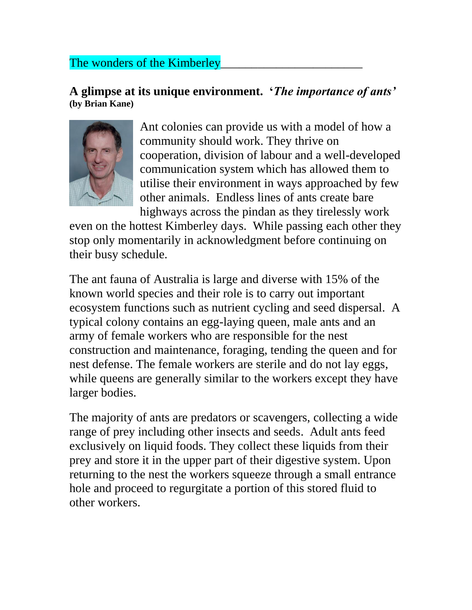## The wonders of the Kimberley

## **A glimpse at its unique environment. '***The importance of ants'* **(by Brian Kane)**



Ant colonies can provide us with a model of how a community should work. They thrive on cooperation, division of labour and a well-developed communication system which has allowed them to utilise their environment in ways approached by few other animals. Endless lines of ants create bare highways across the pindan as they tirelessly work

even on the hottest Kimberley days. While passing each other they stop only momentarily in acknowledgment before continuing on their busy schedule.

The ant fauna of Australia is large and diverse with 15% of the known world species and their role is to carry out important ecosystem functions such as nutrient cycling and seed dispersal. A typical colony contains an egg-laying queen, male ants and an army of female workers who are responsible for the nest construction and maintenance, foraging, tending the queen and for nest defense. The female workers are sterile and do not lay eggs, while queens are generally similar to the workers except they have larger bodies.

The majority of ants are predators or scavengers, collecting a wide range of prey including other insects and seeds. Adult ants feed exclusively on liquid foods. They collect these liquids from their prey and store it in the upper part of their digestive system. Upon returning to the nest the workers squeeze through a small entrance hole and proceed to regurgitate a portion of this stored fluid to other workers.